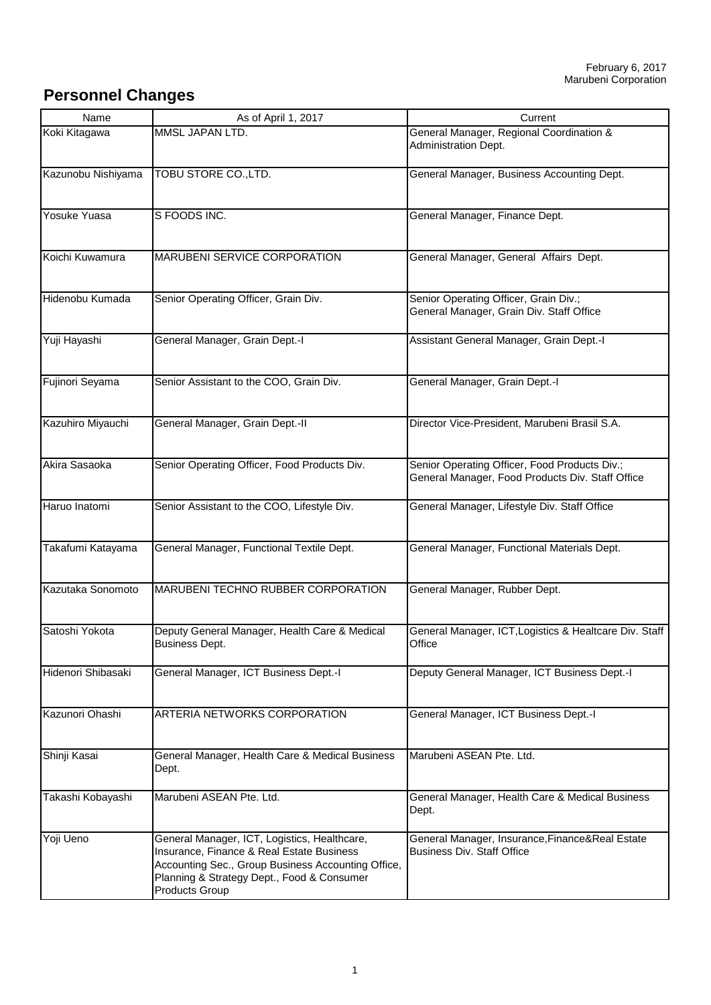## **Personnel Changes**

| Name               | As of April 1, 2017                                                                                                                                                                                                    | Current                                                                                           |
|--------------------|------------------------------------------------------------------------------------------------------------------------------------------------------------------------------------------------------------------------|---------------------------------------------------------------------------------------------------|
| Koki Kitagawa      | MMSL JAPAN LTD.                                                                                                                                                                                                        | General Manager, Regional Coordination &<br><b>Administration Dept.</b>                           |
| Kazunobu Nishiyama | TOBU STORE CO., LTD.                                                                                                                                                                                                   | General Manager, Business Accounting Dept.                                                        |
| Yosuke Yuasa       | S FOODS INC.                                                                                                                                                                                                           | General Manager, Finance Dept.                                                                    |
| Koichi Kuwamura    | <b>MARUBENI SERVICE CORPORATION</b>                                                                                                                                                                                    | General Manager, General Affairs Dept.                                                            |
| Hidenobu Kumada    | Senior Operating Officer, Grain Div.                                                                                                                                                                                   | Senior Operating Officer, Grain Div.;<br>General Manager, Grain Div. Staff Office                 |
| Yuji Hayashi       | General Manager, Grain Dept.-I                                                                                                                                                                                         | Assistant General Manager, Grain Dept.-I                                                          |
| Fujinori Seyama    | Senior Assistant to the COO, Grain Div.                                                                                                                                                                                | General Manager, Grain Dept.-I                                                                    |
| Kazuhiro Miyauchi  | General Manager, Grain Dept.-II                                                                                                                                                                                        | Director Vice-President, Marubeni Brasil S.A.                                                     |
| Akira Sasaoka      | Senior Operating Officer, Food Products Div.                                                                                                                                                                           | Senior Operating Officer, Food Products Div.;<br>General Manager, Food Products Div. Staff Office |
| Haruo Inatomi      | Senior Assistant to the COO, Lifestyle Div.                                                                                                                                                                            | General Manager, Lifestyle Div. Staff Office                                                      |
| Takafumi Katayama  | General Manager, Functional Textile Dept.                                                                                                                                                                              | General Manager, Functional Materials Dept.                                                       |
| Kazutaka Sonomoto  | <b>MARUBENI TECHNO RUBBER CORPORATION</b>                                                                                                                                                                              | General Manager, Rubber Dept.                                                                     |
| Satoshi Yokota     | Deputy General Manager, Health Care & Medical<br><b>Business Dept.</b>                                                                                                                                                 | General Manager, ICT, Logistics & Healtcare Div. Staff<br>Office                                  |
| Hidenori Shibasaki | General Manager, ICT Business Dept.-I                                                                                                                                                                                  | Deputy General Manager, ICT Business Dept.-I                                                      |
| Kazunori Ohashi    | ARTERIA NETWORKS CORPORATION                                                                                                                                                                                           | General Manager, ICT Business Dept.-I                                                             |
| Shinji Kasai       | General Manager, Health Care & Medical Business<br>Dept.                                                                                                                                                               | Marubeni ASEAN Pte. Ltd.                                                                          |
| Takashi Kobayashi  | Marubeni ASEAN Pte. Ltd.                                                                                                                                                                                               | General Manager, Health Care & Medical Business<br>Dept.                                          |
| Yoji Ueno          | General Manager, ICT, Logistics, Healthcare,<br>Insurance, Finance & Real Estate Business<br>Accounting Sec., Group Business Accounting Office,<br>Planning & Strategy Dept., Food & Consumer<br><b>Products Group</b> | General Manager, Insurance, Finance& Real Estate<br><b>Business Div. Staff Office</b>             |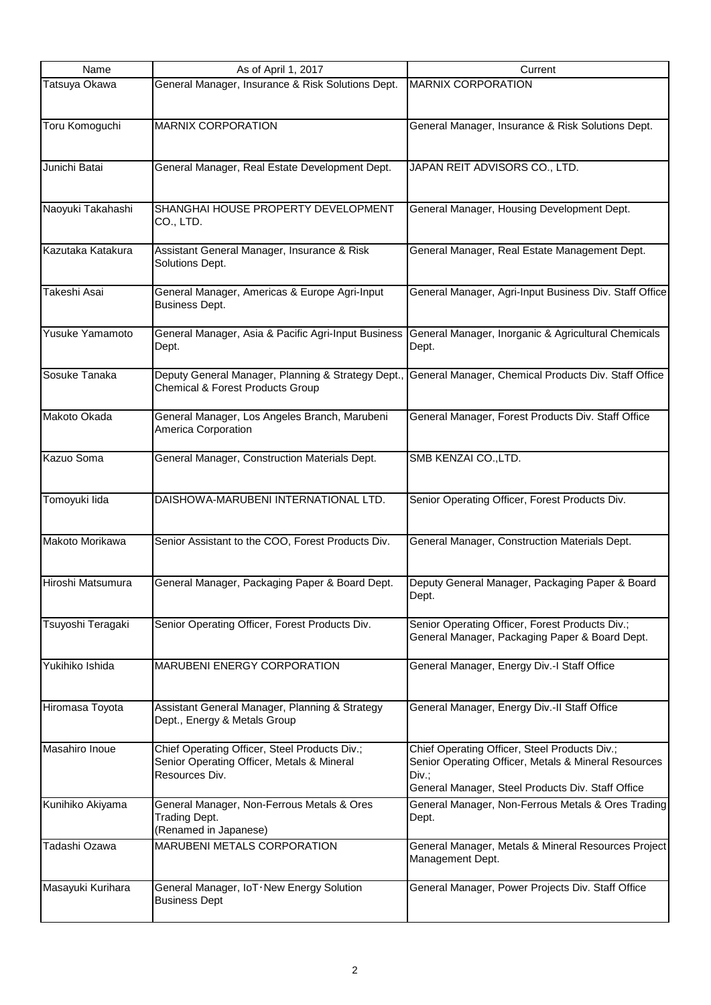| Name              | As of April 1, 2017                                                            | Current                                                                                           |
|-------------------|--------------------------------------------------------------------------------|---------------------------------------------------------------------------------------------------|
| Tatsuya Okawa     | General Manager, Insurance & Risk Solutions Dept.                              | <b>MARNIX CORPORATION</b>                                                                         |
|                   |                                                                                |                                                                                                   |
| Toru Komoguchi    | <b>MARNIX CORPORATION</b>                                                      | General Manager, Insurance & Risk Solutions Dept.                                                 |
|                   |                                                                                |                                                                                                   |
| Junichi Batai     | General Manager, Real Estate Development Dept.                                 | JAPAN REIT ADVISORS CO., LTD.                                                                     |
|                   |                                                                                |                                                                                                   |
| Naoyuki Takahashi | SHANGHAI HOUSE PROPERTY DEVELOPMENT                                            | General Manager, Housing Development Dept.                                                        |
|                   | CO., LTD.                                                                      |                                                                                                   |
| Kazutaka Katakura | Assistant General Manager, Insurance & Risk                                    | General Manager, Real Estate Management Dept.                                                     |
|                   | Solutions Dept.                                                                |                                                                                                   |
| Takeshi Asai      | General Manager, Americas & Europe Agri-Input                                  | General Manager, Agri-Input Business Div. Staff Office                                            |
|                   | <b>Business Dept.</b>                                                          |                                                                                                   |
| Yusuke Yamamoto   | General Manager, Asia & Pacific Agri-Input Business                            | General Manager, Inorganic & Agricultural Chemicals                                               |
|                   | Dept.                                                                          | Dept.                                                                                             |
| Sosuke Tanaka     | Deputy General Manager, Planning & Strategy Dept.,                             | General Manager, Chemical Products Div. Staff Office                                              |
|                   | <b>Chemical &amp; Forest Products Group</b>                                    |                                                                                                   |
| Makoto Okada      | General Manager, Los Angeles Branch, Marubeni                                  | General Manager, Forest Products Div. Staff Office                                                |
|                   | America Corporation                                                            |                                                                                                   |
| Kazuo Soma        | General Manager, Construction Materials Dept.                                  | SMB KENZAI CO., LTD.                                                                              |
|                   |                                                                                |                                                                                                   |
|                   |                                                                                |                                                                                                   |
| Tomoyuki lida     | DAISHOWA-MARUBENI INTERNATIONAL LTD.                                           | Senior Operating Officer, Forest Products Div.                                                    |
|                   |                                                                                |                                                                                                   |
| Makoto Morikawa   | Senior Assistant to the COO, Forest Products Div.                              | General Manager, Construction Materials Dept.                                                     |
|                   |                                                                                |                                                                                                   |
| Hiroshi Matsumura | General Manager, Packaging Paper & Board Dept.                                 | Deputy General Manager, Packaging Paper & Board<br>Dept.                                          |
|                   |                                                                                |                                                                                                   |
| Tsuyoshi Teragaki | Senior Operating Officer, Forest Products Div.                                 | Senior Operating Officer, Forest Products Div.;<br>General Manager, Packaging Paper & Board Dept. |
|                   |                                                                                |                                                                                                   |
| Yukihiko Ishida   | <b>MARUBENI ENERGY CORPORATION</b>                                             | General Manager, Energy Div.-I Staff Office                                                       |
|                   |                                                                                |                                                                                                   |
| Hiromasa Toyota   | Assistant General Manager, Planning & Strategy<br>Dept., Energy & Metals Group | General Manager, Energy Div.-II Staff Office                                                      |
|                   |                                                                                |                                                                                                   |
| Masahiro Inoue    | Chief Operating Officer, Steel Products Div.;                                  | Chief Operating Officer, Steel Products Div.;                                                     |
|                   | Senior Operating Officer, Metals & Mineral<br>Resources Div.                   | Senior Operating Officer, Metals & Mineral Resources<br>Div.                                      |
|                   |                                                                                | General Manager, Steel Products Div. Staff Office                                                 |
| Kunihiko Akiyama  | General Manager, Non-Ferrous Metals & Ores<br><b>Trading Dept.</b>             | General Manager, Non-Ferrous Metals & Ores Trading<br>Dept.                                       |
|                   | (Renamed in Japanese)                                                          |                                                                                                   |
| Tadashi Ozawa     | <b>MARUBENI METALS CORPORATION</b>                                             | General Manager, Metals & Mineral Resources Project<br>Management Dept.                           |
|                   |                                                                                |                                                                                                   |
| Masayuki Kurihara | General Manager, IoT . New Energy Solution<br><b>Business Dept</b>             | General Manager, Power Projects Div. Staff Office                                                 |
|                   |                                                                                |                                                                                                   |
|                   |                                                                                |                                                                                                   |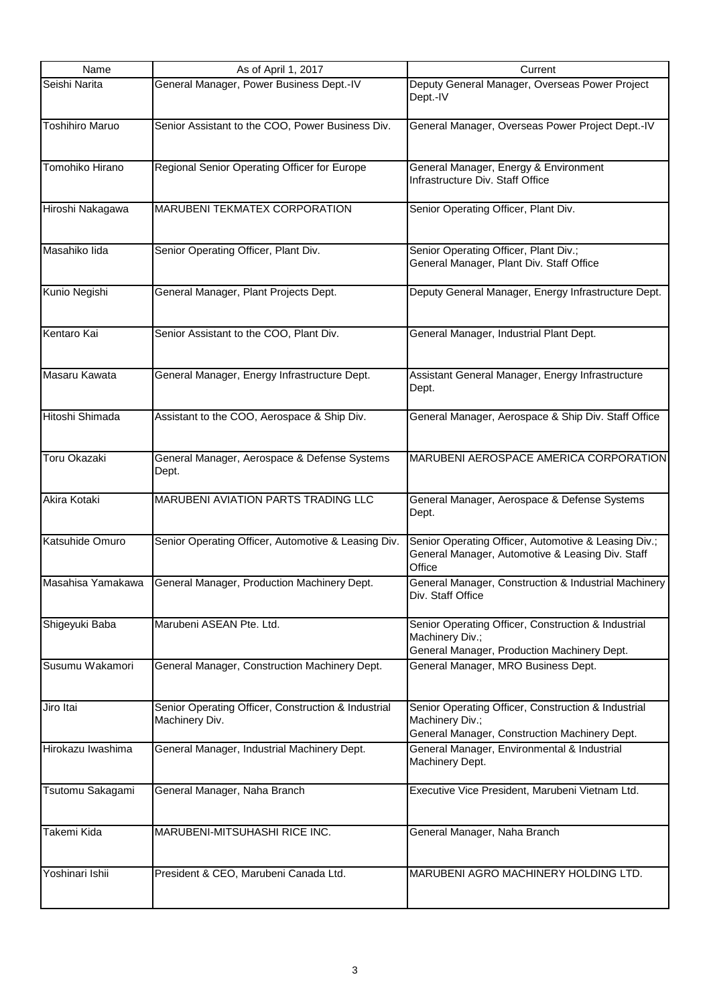| Name                   | As of April 1, 2017                                 | Current                                                        |
|------------------------|-----------------------------------------------------|----------------------------------------------------------------|
| Seishi Narita          | General Manager, Power Business Dept.-IV            | Deputy General Manager, Overseas Power Project                 |
|                        |                                                     | Dept.-IV                                                       |
|                        |                                                     |                                                                |
| <b>Toshihiro Maruo</b> | Senior Assistant to the COO, Power Business Div.    | General Manager, Overseas Power Project Dept.-IV               |
|                        |                                                     |                                                                |
|                        |                                                     |                                                                |
| Tomohiko Hirano        | Regional Senior Operating Officer for Europe        | General Manager, Energy & Environment                          |
|                        |                                                     | Infrastructure Div. Staff Office                               |
|                        |                                                     |                                                                |
| Hiroshi Nakagawa       | <b>MARUBENI TEKMATEX CORPORATION</b>                | Senior Operating Officer, Plant Div.                           |
|                        |                                                     |                                                                |
|                        |                                                     |                                                                |
| Masahiko lida          | Senior Operating Officer, Plant Div.                | Senior Operating Officer, Plant Div.;                          |
|                        |                                                     | General Manager, Plant Div. Staff Office                       |
|                        |                                                     |                                                                |
| Kunio Negishi          | General Manager, Plant Projects Dept.               | Deputy General Manager, Energy Infrastructure Dept.            |
|                        |                                                     |                                                                |
| Kentaro Kai            |                                                     |                                                                |
|                        | Senior Assistant to the COO, Plant Div.             | General Manager, Industrial Plant Dept.                        |
|                        |                                                     |                                                                |
| Masaru Kawata          | General Manager, Energy Infrastructure Dept.        | Assistant General Manager, Energy Infrastructure               |
|                        |                                                     | Dept.                                                          |
|                        |                                                     |                                                                |
| Hitoshi Shimada        | Assistant to the COO, Aerospace & Ship Div.         | General Manager, Aerospace & Ship Div. Staff Office            |
|                        |                                                     |                                                                |
|                        |                                                     |                                                                |
| <b>Toru Okazaki</b>    | General Manager, Aerospace & Defense Systems        | MARUBENI AEROSPACE AMERICA CORPORATION                         |
|                        | Dept.                                               |                                                                |
|                        |                                                     |                                                                |
| Akira Kotaki           | <b>MARUBENI AVIATION PARTS TRADING LLC</b>          | General Manager, Aerospace & Defense Systems                   |
|                        |                                                     | Dept.                                                          |
|                        |                                                     |                                                                |
| Katsuhide Omuro        | Senior Operating Officer, Automotive & Leasing Div. | Senior Operating Officer, Automotive & Leasing Div.;           |
|                        |                                                     | General Manager, Automotive & Leasing Div. Staff               |
|                        |                                                     | Office                                                         |
| Masahisa Yamakawa      | General Manager, Production Machinery Dept.         | General Manager, Construction & Industrial Machinery           |
|                        |                                                     | Div. Staff Office                                              |
|                        |                                                     |                                                                |
| Shigeyuki Baba         | Marubeni ASEAN Pte. Ltd.                            | Senior Operating Officer, Construction & Industrial            |
|                        |                                                     | Machinery Div.;<br>General Manager, Production Machinery Dept. |
| Susumu Wakamori        |                                                     | General Manager, MRO Business Dept.                            |
|                        | General Manager, Construction Machinery Dept.       |                                                                |
|                        |                                                     |                                                                |
| Jiro Itai              | Senior Operating Officer, Construction & Industrial | Senior Operating Officer, Construction & Industrial            |
|                        | Machinery Div.                                      | Machinery Div.;                                                |
|                        |                                                     | General Manager, Construction Machinery Dept.                  |
| Hirokazu Iwashima      | General Manager, Industrial Machinery Dept.         | General Manager, Environmental & Industrial                    |
|                        |                                                     | Machinery Dept.                                                |
|                        |                                                     |                                                                |
| Tsutomu Sakagami       | General Manager, Naha Branch                        | Executive Vice President, Marubeni Vietnam Ltd.                |
|                        |                                                     |                                                                |
|                        |                                                     |                                                                |
| Takemi Kida            | MARUBENI-MITSUHASHI RICE INC.                       | General Manager, Naha Branch                                   |
|                        |                                                     |                                                                |
|                        |                                                     |                                                                |
| Yoshinari Ishii        | President & CEO, Marubeni Canada Ltd.               | MARUBENI AGRO MACHINERY HOLDING LTD.                           |
|                        |                                                     |                                                                |
|                        |                                                     |                                                                |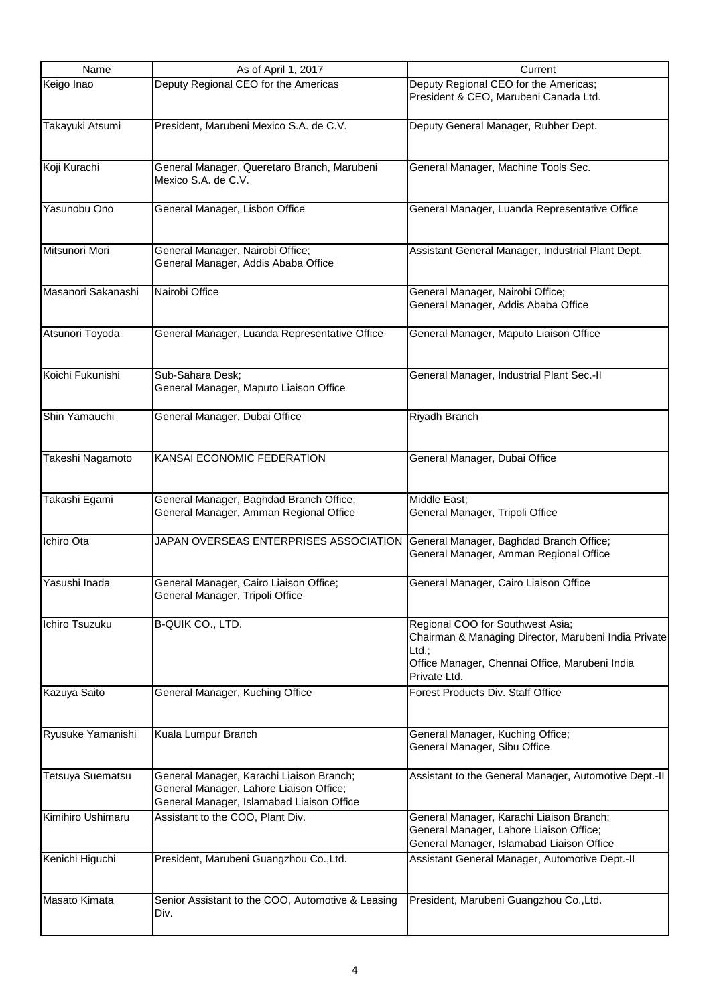| Name                    | As of April 1, 2017                                                                                                              | Current                                                                                                                                                                |
|-------------------------|----------------------------------------------------------------------------------------------------------------------------------|------------------------------------------------------------------------------------------------------------------------------------------------------------------------|
| Keigo Inao              | Deputy Regional CEO for the Americas                                                                                             | Deputy Regional CEO for the Americas;<br>President & CEO, Marubeni Canada Ltd.                                                                                         |
| Takayuki Atsumi         | President, Marubeni Mexico S.A. de C.V.                                                                                          | Deputy General Manager, Rubber Dept.                                                                                                                                   |
| Koji Kurachi            | General Manager, Queretaro Branch, Marubeni<br>Mexico S.A. de C.V.                                                               | General Manager, Machine Tools Sec.                                                                                                                                    |
| Yasunobu Ono            | General Manager, Lisbon Office                                                                                                   | General Manager, Luanda Representative Office                                                                                                                          |
| Mitsunori Mori          | General Manager, Nairobi Office;<br>General Manager, Addis Ababa Office                                                          | Assistant General Manager, Industrial Plant Dept.                                                                                                                      |
| Masanori Sakanashi      | Nairobi Office                                                                                                                   | General Manager, Nairobi Office;<br>General Manager, Addis Ababa Office                                                                                                |
| Atsunori Toyoda         | General Manager, Luanda Representative Office                                                                                    | General Manager, Maputo Liaison Office                                                                                                                                 |
| Koichi Fukunishi        | Sub-Sahara Desk;<br>General Manager, Maputo Liaison Office                                                                       | General Manager, Industrial Plant Sec.-II                                                                                                                              |
| Shin Yamauchi           | General Manager, Dubai Office                                                                                                    | Riyadh Branch                                                                                                                                                          |
| Takeshi Nagamoto        | KANSAI ECONOMIC FEDERATION                                                                                                       | General Manager, Dubai Office                                                                                                                                          |
| Takashi Egami           | General Manager, Baghdad Branch Office;<br>General Manager, Amman Regional Office                                                | Middle East;<br>General Manager, Tripoli Office                                                                                                                        |
| Ichiro Ota              | JAPAN OVERSEAS ENTERPRISES ASSOCIATION                                                                                           | General Manager, Baghdad Branch Office;<br>General Manager, Amman Regional Office                                                                                      |
| Yasushi Inada           | General Manager, Cairo Liaison Office;<br>General Manager, Tripoli Office                                                        | General Manager, Cairo Liaison Office                                                                                                                                  |
| Ichiro Tsuzuku          | <b>B-QUIK CO., LTD.</b>                                                                                                          | Regional COO for Southwest Asia;<br>Chairman & Managing Director, Marubeni India Private<br>$Ltd.$ ;<br>Office Manager, Chennai Office, Marubeni India<br>Private Ltd. |
| Kazuya Saito            | General Manager, Kuching Office                                                                                                  | Forest Products Div. Staff Office                                                                                                                                      |
| Ryusuke Yamanishi       | Kuala Lumpur Branch                                                                                                              | General Manager, Kuching Office;<br>General Manager, Sibu Office                                                                                                       |
| <b>Tetsuya Suematsu</b> | General Manager, Karachi Liaison Branch;<br>General Manager, Lahore Liaison Office;<br>General Manager, Islamabad Liaison Office | Assistant to the General Manager, Automotive Dept.-II                                                                                                                  |
| Kimihiro Ushimaru       | Assistant to the COO, Plant Div.                                                                                                 | General Manager, Karachi Liaison Branch;<br>General Manager, Lahore Liaison Office;<br>General Manager, Islamabad Liaison Office                                       |
| Kenichi Higuchi         | President, Marubeni Guangzhou Co., Ltd.                                                                                          | Assistant General Manager, Automotive Dept.-II                                                                                                                         |
| Masato Kimata           | Senior Assistant to the COO, Automotive & Leasing<br>Div.                                                                        | President, Marubeni Guangzhou Co., Ltd.                                                                                                                                |